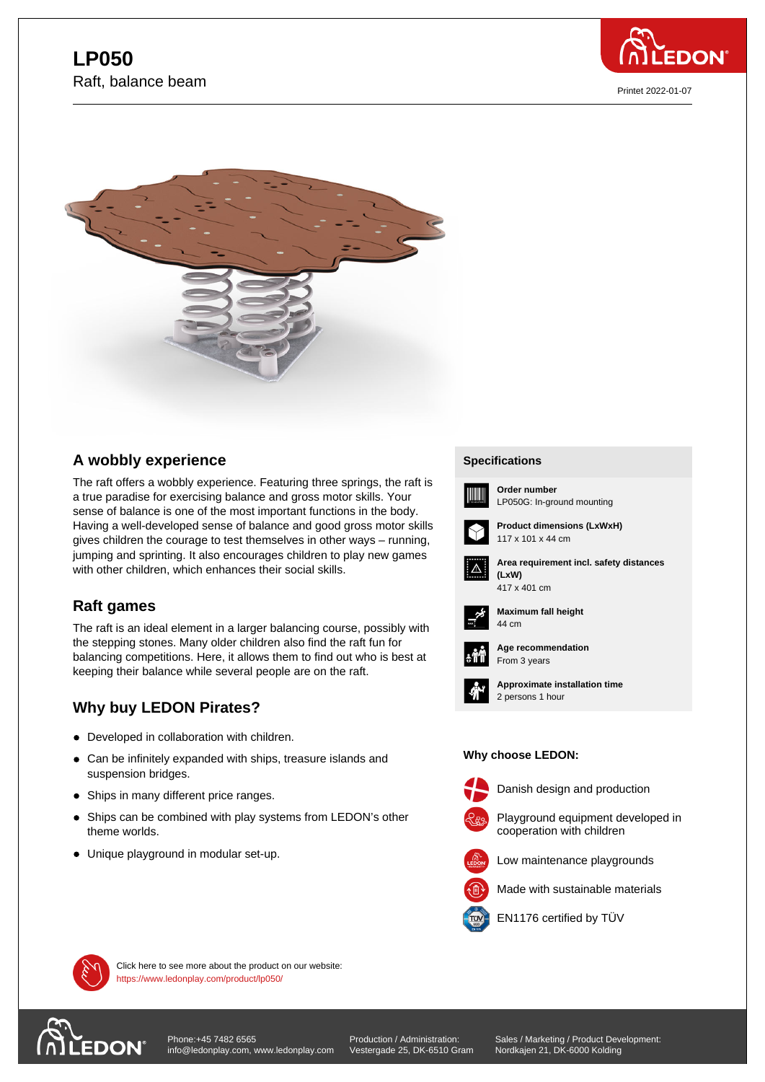



## **A wobbly experience**

The raft offers a wobbly experience. Featuring three springs, the raft is a true paradise for exercising balance and gross motor skills. Your sense of balance is one of the most important functions in the body. Having a well-developed sense of balance and good gross motor skills gives children the courage to test themselves in other ways – running, jumping and sprinting. It also encourages children to play new games with other children, which enhances their social skills.

## **Raft games**

The raft is an ideal element in a larger balancing course, possibly with the stepping stones. Many older children also find the raft fun for balancing competitions. Here, it allows them to find out who is best at keeping their balance while several people are on the raft.

# **Why buy LEDON Pirates?**

- Developed in collaboration with children.
- Can be infinitely expanded with ships, treasure islands and suspension bridges.
- Ships in many different price ranges.
- Ships can be combined with play systems from LEDON's other theme worlds.
- Unique playground in modular set-up.

### **Specifications Specifications**



**Order number** LP050G: In-ground mounting



**Product dimensions (LxWxH)** 117 x 101 x 44 cm



**Area requirement incl. safety distances (LxW) (LxW)**



**Maximum fall height** 44 cm 44 cm



**Age recommendation** From 3 years



**Approximate installation time** 2 persons 1 hour

#### **Why choose LEDON: Why choose LEDON:**



Danish design and production



Playground equipment developed in





Made with sustainable materials



EN1176 certified by TÜV



Click here to see more about the product on our website: https://www.ledonplay.com/product/lp050/



[Phone:+45 7482 6565](https://www.ledonplay.com/product/lp050/) info@ledonplay.com, www.ledonplay.com

Production / Administration: Vestergade 25, DK-6510 Gram Sales / Marketing / Product Development: Nordkajen 21, DK-6000 Kolding